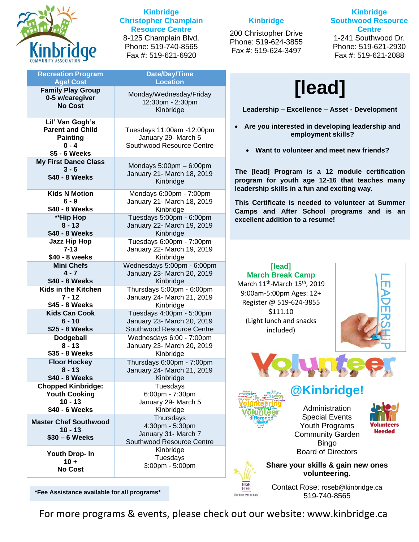

#### **Kinbridge Christopher Champlain Resource Centre** 8-125 Champlain Blvd. Phone: 519-740-8565 Fax #: 519-621-6920

| <b>Recreation Program</b><br><b>Age/Cost</b> | <b>Date/Day/Time</b><br><b>Location</b>          |
|----------------------------------------------|--------------------------------------------------|
|                                              |                                                  |
| <b>Family Play Group</b><br>0-5 w/caregiver  | Monday/Wednesday/Friday                          |
| <b>No Cost</b>                               | 12:30pm - 2:30pm                                 |
|                                              | Kinbridge                                        |
| Lil' Van Gogh's                              |                                                  |
| <b>Parent and Child</b>                      | Tuesdays 11:00am -12:00pm                        |
| <b>Painting</b>                              | January 29- March 5                              |
| $0 - 4$                                      | Southwood Resource Centre                        |
| \$5 - 6 Weeks                                |                                                  |
| <b>My First Dance Class</b>                  | Mondays $5:00$ pm $-6:00$ pm                     |
| $3 - 6$                                      | January 21- March 18, 2019                       |
| \$40 - 8 Weeks                               | Kinbridge                                        |
|                                              |                                                  |
| <b>Kids N Motion</b>                         | Mondays 6:00pm - 7:00pm                          |
| $6 - 9$                                      | January 21- March 18, 2019                       |
| \$40 - 8 Weeks                               | Kinbridge                                        |
| **Hip Hop                                    | Tuesdays 5:00pm - 6:00pm                         |
| $8 - 13$                                     | January 22- March 19, 2019                       |
| \$40 - 8 Weeks                               | Kinbridge                                        |
| <b>Jazz Hip Hop</b><br>$7 - 13$              | Tuesdays 6:00pm - 7:00pm                         |
| \$40 - 8 weeks                               | January 22- March 19, 2019<br>Kinbridge          |
| <b>Mini Chefs</b>                            | Wednesdays 5:00pm - 6:00pm                       |
| $4 - 7$                                      | January 23- March 20, 2019                       |
| \$40 - 8 Weeks                               | Kinbridge                                        |
| Kids in the Kitchen                          | Thursdays 5:00pm - 6:00pm                        |
| $7 - 12$                                     | January 24- March 21, 2019                       |
| \$45 - 8 Weeks                               | Kinbridge                                        |
| <b>Kids Can Cook</b>                         | Tuesdays 4:00pm - 5:00pm                         |
| $6 - 10$                                     | January 23- March 20, 2019                       |
| \$25 - 8 Weeks                               | Southwood Resource Centre                        |
| Dodgeball                                    | Wednesdays 6:00 - 7:00pm                         |
| $8 - 13$                                     | January 23- March 20, 2019                       |
| \$35 - 8 Weeks                               | Kinbridge                                        |
| <b>Floor Hockey</b>                          | Thursdays 6:00pm - 7:00pm                        |
| 8 - 13                                       | January 24- March 21, 2019                       |
| \$40 - 8 Weeks                               | Kinbridge                                        |
| <b>Chopped Kinbridge:</b>                    | Tuesdays                                         |
| <b>Youth Cooking</b>                         | 6:00pm - 7:30pm                                  |
| $10 - 13$                                    | January 29- March 5                              |
| \$40 - 6 Weeks                               | Kinbridge                                        |
| <b>Master Chef Southwood</b>                 | Thursdays                                        |
| $10 - 13$                                    | 4:30pm - 5:30pm                                  |
| $$30 - 6$ Weeks                              | January 31- March 7<br>Southwood Resource Centre |
|                                              | Kinbridge                                        |
| Youth Drop- In                               | Tuesdays                                         |
| $10 +$                                       | 3:00pm - 5:00pm                                  |
| <b>No Cost</b>                               |                                                  |
|                                              |                                                  |

#### **Kinbridge**

200 Christopher Drive Phone: 519-624-3855 Fax #: 519-624-3497

**Kinbridge Southwood Resource Centre** 1-241 Southwood Dr. Phone: 519-621-2930 Fax #: 519-621-2088

# **[lead]**

**Leadership – Excellence – Asset - Development**

- **Are you interested in developing leadership and employment skills?**
	- **Want to volunteer and meet new friends?**

**The [lead] Program is a 12 module certification program for youth age 12-16 that teaches many leadership skills in a fun and exciting way.**

**This Certificate is needed to volunteer at Summer Camps and After School programs and is an excellent addition to a resume!**

#### **[lead] March Break Camp** March 11<sup>th</sup>-March 15<sup>th</sup>, 2019 9:00am-5:00pm Ages: 12+ Register @ 519-624-3855 \$111.10 (Light lunch and snacks included)





# **@Kinbridge!**

Administration Special Events Youth Programs Community Garden Bingo Board of Directors



**Share your skills & gain new ones volunteering.**

Contact Rose: [roseb@kinbridge.ca](mailto:roseb@kinbridge.ca)

519-740-8565 **\*Fee Assistance available for all programs\***

For more programs & events, please check out our website: www.kinbridge.ca